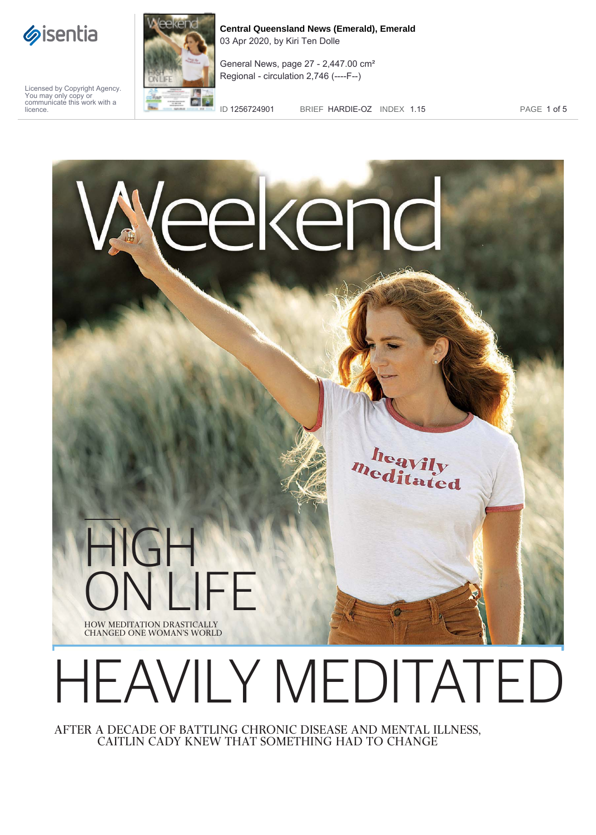



**Central Queensland News (Emerald), Emerald** 03 Apr 2020, by Kiri Ten Dolle

General News, page 27 - 2,447.00 cm² Regional - circulation 2,746 (----F--)

ID 1256724901 BRIEF HARDIE-OZ INDEX 1.15 PAGE 1 of 5



AFTER A DECADE OF BATTLING CHRONIC DISEASE AND MENTAL ILLNESS, CAITLIN CADY KNEW THAT SOMETHING HAD TO CHANGE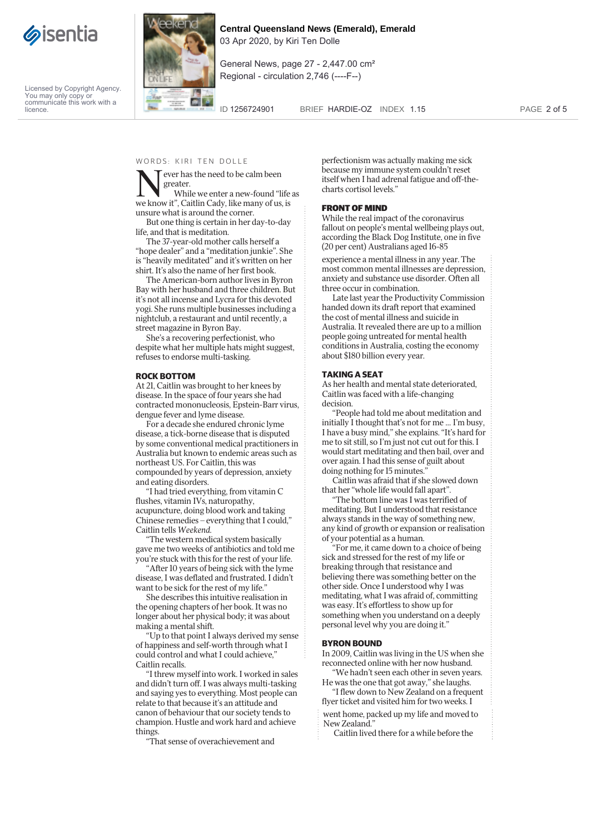



**Central Queensland News (Emerald), Emerald** 03 Apr 2020, by Kiri Ten Dolle

General News, page 27 - 2,447.00 cm² Regional - circulation 2,746 (----F--)

ID 1256724901 BRIEF HARDIE-OZ INDEX 1.15 PAGE 2 of 5

# WORDS: KIRI TEN DOLLE

**Never has the need to be calm been**<br>While we enter a new-found "life<br>we know it", Caitlin Cady, like many of us, is greater.

While we enter a new-found "life as unsure what is around the corner.

But one thing is certain in her day-to-day life, and that is meditation.

The 37-year-old mother calls herself a "hope dealer" and a "meditation junkie". She is "heavily meditated" and it's written on her shirt. It's also the name of her first book.

The American-born author lives in Byron Bay with her husband and three children. But it's not all incense and Lycra for this devoted yogi. She runs multiple businesses including a nightclub, a restaurant and until recently, a street magazine in Byron Bay.

She's a recovering perfectionist, who despite what her multiple hats might suggest, refuses to endorse multi-tasking.

# **ROCK BOTTOM**

At 21, Caitlin was brought to her knees by disease. In the space of four years she had contracted mononucleosis, Epstein-Barr virus, dengue fever and lyme disease.

For a decade she endured chronic lyme disease, a tick-borne disease that is disputed by some conventional medical practitioners in Australia but known to endemic areas such as northeast US. For Caitlin, this was compounded by years of depression, anxiety and eating disorders.

"I had tried everything, from vitamin C flushes, vitamin IVs, naturopathy, acupuncture, doing blood work and taking Chinese remedies – everything that I could," Caitlin tells Weekend.

The western medical system basically gave me two weeks of antibiotics and told me you're stuck with this for the rest of your life.

"After 10 years of being sick with the lyme disease, I was deflated and frustrated. I didn't want to be sick for the rest of my life."

She describes this intuitive realisation in the opening chapters of her book. It was no longer about her physical body; it was about making a mental shift.

"Up to that point I always derived my sense of happiness and self-worth through what I could control and what I could achieve," Caitlin recalls.

"I threw myself into work. I worked in sales and didn't turn off. I was always multi-tasking and saying yes to everything. Most people can relate to that because it's an attitude and canon of behaviour that our society tends to champion. Hustle and work hard and achieve things.

"That sense of overachievement and

perfectionism was actually making me sick because my immune system couldn't reset itself when I had adrenal fatigue and off-thecharts cortisol levels."

# FRONT OF MIND

While the real impact of the coronavirus fallout on people's mental wellbeing plays out, according the Black Dog Institute, one in five (20 per cent) Australians aged 16-85

experience a mental illness in any year. The most common mental illnesses are depression, anxiety and substance use disorder. Often all three occur in combination.

Late last year the Productivity Commission handed down its draft report that examined the cost of mental illness and suicide in Australia. It revealed there are up to a million people going untreated for mental health conditions in Australia, costing the economy about \$180 billion every year.

#### **TAKING A SEAT**

As her health and mental state deteriorated, Caitlin was faced with a life-changing decision.

"People had told me about meditation and initially I thought that's not for me … I'm busy, I have a busy mind," she explains. "It's hard for me to sit still, so I'm just not cut out for this. I would start meditating and then bail, over and over again. I had this sense of guilt about doing nothing for 15 minutes."

Caitlin was afraid that if she slowed down that her "whole life would fall apart".

"The bottom line was I was terrified of meditating. But I understood that resistance always stands in the way of something new, any kind of growth or expansion or realisation of your potential as a human.

"For me, it came down to a choice of being sick and stressed for the rest of my life or breaking through that resistance and believing there was something better on the other side. Once I understood why I was meditating, what I was afraid of, committing was easy. It's effortless to show up for something when you understand on a deeply personal level why you are doing it."

# **BYRON BOUND**

In 2009, Caitlin was living in the US when she reconnected online with her now husband.

"We hadn't seen each other in seven years. He was the one that got away," she laughs.

"I flew down to New Zealand on a frequent flyer ticket and visited him for two weeks. I

went home, packed up my life and moved to New Zealand."

Caitlin lived there for a while before the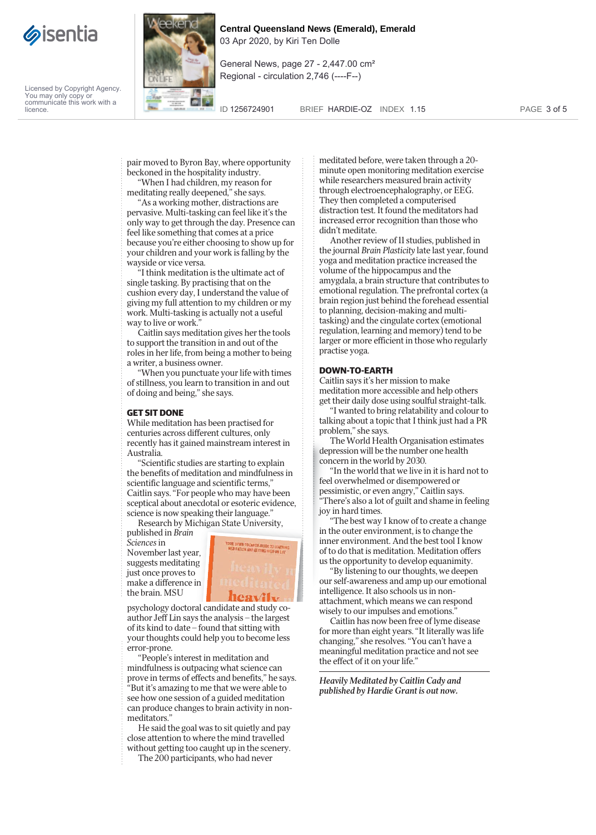



**Central Queensland News (Emerald), Emerald** 03 Apr 2020, by Kiri Ten Dolle

General News, page 27 - 2,447.00 cm² Regional - circulation 2,746 (----F--)

ID 1256724901 BRIEF HARDIE-OZ INDEX 1.15 PAGE 3 of 5

pair moved to Byron Bay, where opportunity beckoned in the hospitality industry.

"When I had children, my reason for meditating really deepened," she says.

"As a working mother, distractions are pervasive. Multi-tasking can feel like it's the only way to get through the day. Presence can feel like something that comes at a price because you're either choosing to show up for your children and your work is falling by the wayside or vice versa.

"I think meditation is the ultimate act of single tasking. By practising that on the cushion every day, I understand the value of giving my full attention to my children or my work. Multi-tasking is actually not a useful way to live or work.

Caitlin says meditation gives her the tools to support the transition in and out of the roles in her life, from being a mother to being a writer, a business owner.

When you punctuate your life with times of stillness, you learn to transition in and out of doing and being," she says.

## **GET SIT DONE**

While meditation has been practised for centuries across different cultures, only recently has it gained mainstream interest in Australia.

"Scientific studies are starting to explain the benefits of meditation and mindfulness in scientific language and scientific terms," Caitlin says. "For people who may have been sceptical about anecdotal or esoteric evidence, science is now speaking their language."

Research by Michigan State University,

published in Brain Sciences in November last year, suggests meditating just once proves to November last year,<br>suggests meditating<br>just once proves to<br>make a difference in the brain. MSU



psychology doctoral candidate and study coauthor Jeff Lin says the analysis – the largest of its kind to date – found that sitting with your thoughts could help you to become less error-prone.

"People's interest in meditation and mindfulness is outpacing what science can prove in terms of effects and benefits," he says. "But it's amazing to me that we were able to see how one session of a guided meditation can produce changes to brain activity in nonmeditators."

He said the goal was to sit quietly and pay close attention to where the mind travelled without getting too caught up in the scenery.

The 200 participants, who had never

meditated before, were taken through a 20 minute open monitoring meditation exercise while researchers measured brain activity through electroencephalography, or EEG. They then completed a computerised distraction test. It found the meditators had increased error recognition than those who didn't meditate.

Another review of 11 studies, published in the journal Brain Plasticity late last year, found yoga and meditation practice increased the volume of the hippocampus and the amygdala, a brain structure that contributes to emotional regulation. The prefrontal cortex (a brain region just behind the forehead essential to planning, decision-making and multitasking) and the cingulate cortex (emotional regulation, learning and memory) tend to be larger or more efficient in those who regularly practise yoga.

# **DOWN-TO-EARTH**

Caitlin says it's her mission to make meditation more accessible and help others get their daily dose using soulful straight-talk.

"I wanted to bring relatability and colour to talking about a topic that I think just had a PR problem," she says.

The World Health Organisation estimates depression will be the number one health de concern in the world by 2030. co

"In the world that we live in it is hard not to feel overwhelmed or disempowered or fe pessimistic, or even angry," Caitlin says. pe "There's also a lot of guilt and shame in feeling "T joy in hard times. jo

"The best way I know of to create a change in the outer environment, is to change the in inner environment. And the best tool I know in of to do that is meditation. Meditation offers us the opportunity to develop equanimity. u

"By listening to our thoughts, we deepen our self-awareness and amp up our emotional intelligence. It also schools us in nonattachment, which means we can respond wisely to our impulses and emotions.

Caitlin has now been free of lyme disease for more than eight years. "It literally was life changing," she resolves. "You can't have a meaningful meditation practice and not see the effect of it on your life."

*Heavily Meditated by Caitlin Cady and published by Hardie Grant is out now.*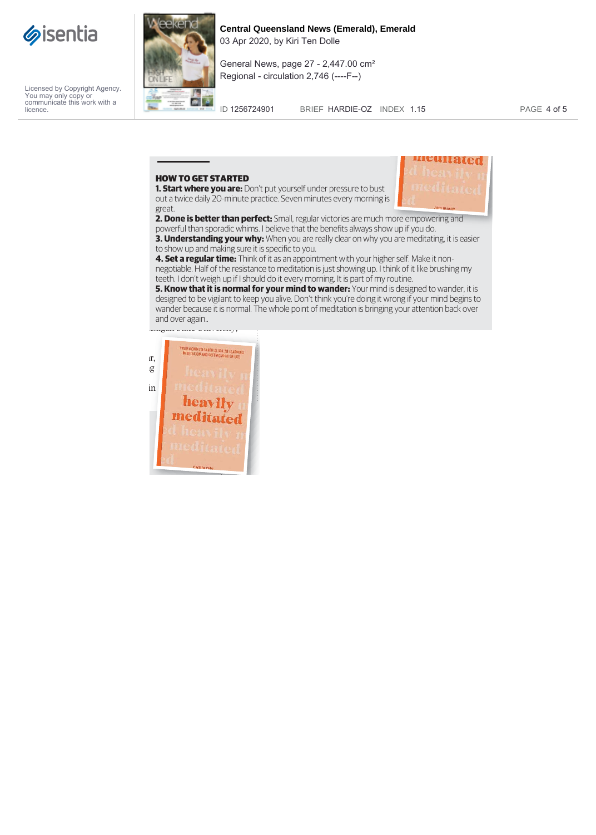



General News, page 27 - 2,447.00 cm² Regional - circulation 2,746 (----F--)

ID 1256724901 BRIEF HARDIE-OZ INDEX 1.15 PAGE 4 of 5

# HOW TO GET STARTED

**1. Start where you are:** Don't put yourself under pressure to bust out a twice daily 20-minute practice. Seven minutes every morning is



great. **2. Done is better than perfect:** Small, regular victories are much more empowering and powerful than sporadic whims. I believe that the benefits always show up if you do. d **3. Understanding your why:** When you are really clear on why you are meditating, it is easier to show up and making sure it is specific to you.

**4. Set a regular time:** Think of it as an appointment with your higher self. Make it nonnegotiable. Half of the resistance to meditation is just showing up. I think of it like brushing my teeth. I don't weigh up if I should do it every morning. It is part of my routine.

**5. Know that it is normal for your mind to wander:** Your mind is designed to wander, it is designed to be vigilant to keep you alive. Don't think you're doing it wrong if your mind begins to wander because it is normal. The whole point of meditation is bringing your attention back over and over again..

ichigan State University,